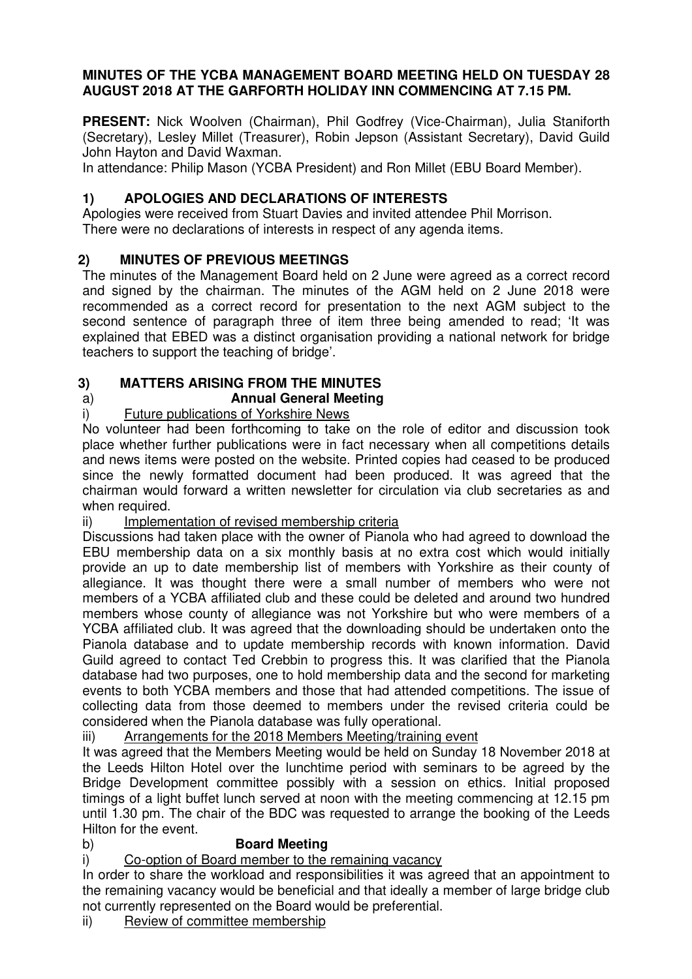## **MINUTES OF THE YCBA MANAGEMENT BOARD MEETING HELD ON TUESDAY 28 AUGUST 2018 AT THE GARFORTH HOLIDAY INN COMMENCING AT 7.15 PM.**

**PRESENT:** Nick Woolven (Chairman), Phil Godfrey (Vice-Chairman), Julia Staniforth (Secretary), Lesley Millet (Treasurer), Robin Jepson (Assistant Secretary), David Guild John Hayton and David Waxman.

In attendance: Philip Mason (YCBA President) and Ron Millet (EBU Board Member).

# **1) APOLOGIES AND DECLARATIONS OF INTERESTS**

Apologies were received from Stuart Davies and invited attendee Phil Morrison. There were no declarations of interests in respect of any agenda items.

## **2) MINUTES OF PREVIOUS MEETINGS**

The minutes of the Management Board held on 2 June were agreed as a correct record and signed by the chairman. The minutes of the AGM held on 2 June 2018 were recommended as a correct record for presentation to the next AGM subject to the second sentence of paragraph three of item three being amended to read; 'It was explained that EBED was a distinct organisation providing a national network for bridge teachers to support the teaching of bridge'.

## **3) MATTERS ARISING FROM THE MINUTES**

#### a) **Annual General Meeting**

## i) Future publications of Yorkshire News

No volunteer had been forthcoming to take on the role of editor and discussion took place whether further publications were in fact necessary when all competitions details and news items were posted on the website. Printed copies had ceased to be produced since the newly formatted document had been produced. It was agreed that the chairman would forward a written newsletter for circulation via club secretaries as and when required.

## ii) Implementation of revised membership criteria

 Discussions had taken place with the owner of Pianola who had agreed to download the EBU membership data on a six monthly basis at no extra cost which would initially provide an up to date membership list of members with Yorkshire as their county of allegiance. It was thought there were a small number of members who were not members of a YCBA affiliated club and these could be deleted and around two hundred members whose county of allegiance was not Yorkshire but who were members of a YCBA affiliated club. It was agreed that the downloading should be undertaken onto the Pianola database and to update membership records with known information. David Guild agreed to contact Ted Crebbin to progress this. It was clarified that the Pianola database had two purposes, one to hold membership data and the second for marketing events to both YCBA members and those that had attended competitions. The issue of collecting data from those deemed to members under the revised criteria could be considered when the Pianola database was fully operational.

iii) Arrangements for the 2018 Members Meeting/training event

It was agreed that the Members Meeting would be held on Sunday 18 November 2018 at the Leeds Hilton Hotel over the lunchtime period with seminars to be agreed by the Bridge Development committee possibly with a session on ethics. Initial proposed timings of a light buffet lunch served at noon with the meeting commencing at 12.15 pm until 1.30 pm. The chair of the BDC was requested to arrange the booking of the Leeds Hilton for the event.

## b) **Board Meeting**

i) Co-option of Board member to the remaining vacancy

In order to share the workload and responsibilities it was agreed that an appointment to the remaining vacancy would be beneficial and that ideally a member of large bridge club not currently represented on the Board would be preferential.

ii) Review of committee membership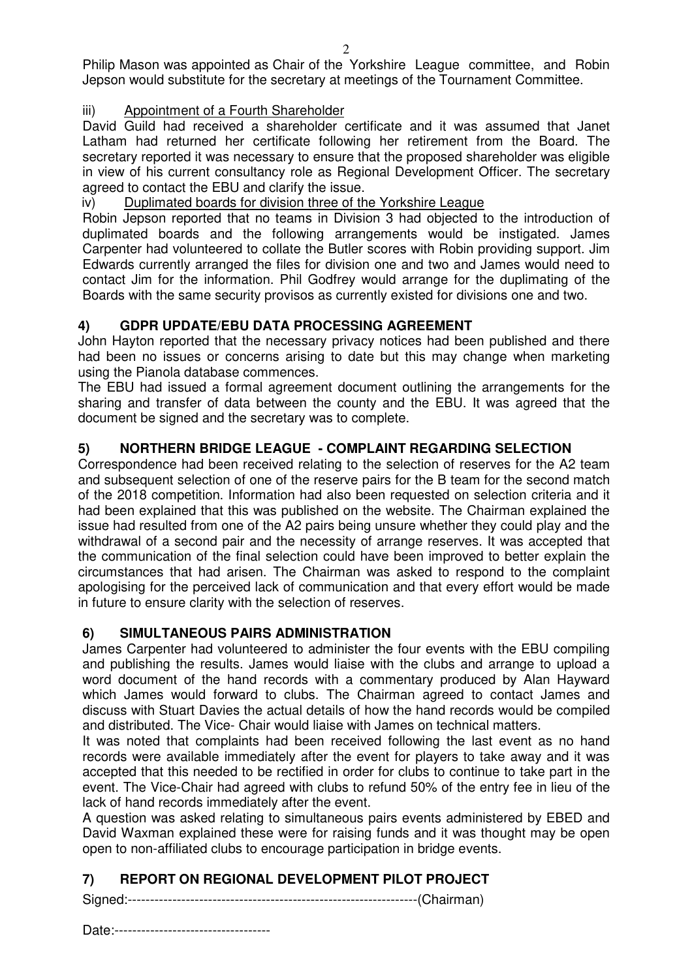Philip Mason was appointed as Chair of the Yorkshire League committee, and Robin Jepson would substitute for the secretary at meetings of the Tournament Committee.

## iii) Appointment of a Fourth Shareholder

David Guild had received a shareholder certificate and it was assumed that Janet Latham had returned her certificate following her retirement from the Board. The secretary reported it was necessary to ensure that the proposed shareholder was eligible in view of his current consultancy role as Regional Development Officer. The secretary agreed to contact the EBU and clarify the issue.

## iv) Duplimated boards for division three of the Yorkshire League

Robin Jepson reported that no teams in Division 3 had objected to the introduction of duplimated boards and the following arrangements would be instigated. James Carpenter had volunteered to collate the Butler scores with Robin providing support. Jim Edwards currently arranged the files for division one and two and James would need to contact Jim for the information. Phil Godfrey would arrange for the duplimating of the Boards with the same security provisos as currently existed for divisions one and two.

## **4) GDPR UPDATE/EBU DATA PROCESSING AGREEMENT**

John Hayton reported that the necessary privacy notices had been published and there had been no issues or concerns arising to date but this may change when marketing using the Pianola database commences.

The EBU had issued a formal agreement document outlining the arrangements for the sharing and transfer of data between the county and the EBU. It was agreed that the document be signed and the secretary was to complete.

# **5) NORTHERN BRIDGE LEAGUE - COMPLAINT REGARDING SELECTION**

Correspondence had been received relating to the selection of reserves for the A2 team and subsequent selection of one of the reserve pairs for the B team for the second match of the 2018 competition. Information had also been requested on selection criteria and it had been explained that this was published on the website. The Chairman explained the issue had resulted from one of the A2 pairs being unsure whether they could play and the withdrawal of a second pair and the necessity of arrange reserves. It was accepted that the communication of the final selection could have been improved to better explain the circumstances that had arisen. The Chairman was asked to respond to the complaint apologising for the perceived lack of communication and that every effort would be made in future to ensure clarity with the selection of reserves.

## **6) SIMULTANEOUS PAIRS ADMINISTRATION**

James Carpenter had volunteered to administer the four events with the EBU compiling and publishing the results. James would liaise with the clubs and arrange to upload a word document of the hand records with a commentary produced by Alan Hayward which James would forward to clubs. The Chairman agreed to contact James and discuss with Stuart Davies the actual details of how the hand records would be compiled and distributed. The Vice- Chair would liaise with James on technical matters.

It was noted that complaints had been received following the last event as no hand records were available immediately after the event for players to take away and it was accepted that this needed to be rectified in order for clubs to continue to take part in the event. The Vice-Chair had agreed with clubs to refund 50% of the entry fee in lieu of the lack of hand records immediately after the event.

A question was asked relating to simultaneous pairs events administered by EBED and David Waxman explained these were for raising funds and it was thought may be open open to non-affiliated clubs to encourage participation in bridge events.

# **7) REPORT ON REGIONAL DEVELOPMENT PILOT PROJECT**

Signed:-----------------------------------------------------------------(Chairman)

Date:-----------------------------------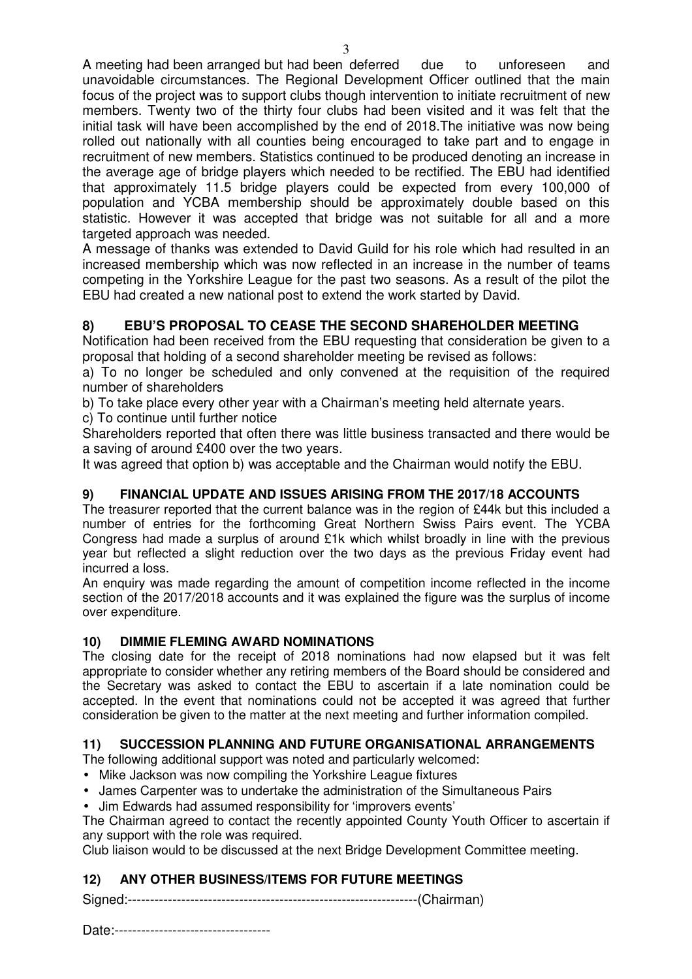A meeting had been arranged but had been deferred due to unforeseen and unavoidable circumstances. The Regional Development Officer outlined that the main focus of the project was to support clubs though intervention to initiate recruitment of new members. Twenty two of the thirty four clubs had been visited and it was felt that the initial task will have been accomplished by the end of 2018.The initiative was now being rolled out nationally with all counties being encouraged to take part and to engage in recruitment of new members. Statistics continued to be produced denoting an increase in the average age of bridge players which needed to be rectified. The EBU had identified that approximately 11.5 bridge players could be expected from every 100,000 of population and YCBA membership should be approximately double based on this statistic. However it was accepted that bridge was not suitable for all and a more targeted approach was needed.

A message of thanks was extended to David Guild for his role which had resulted in an increased membership which was now reflected in an increase in the number of teams competing in the Yorkshire League for the past two seasons. As a result of the pilot the EBU had created a new national post to extend the work started by David.

## **8) EBU'S PROPOSAL TO CEASE THE SECOND SHAREHOLDER MEETING**

Notification had been received from the EBU requesting that consideration be given to a proposal that holding of a second shareholder meeting be revised as follows:

a) To no longer be scheduled and only convened at the requisition of the required number of shareholders

b) To take place every other year with a Chairman's meeting held alternate years.

c) To continue until further notice

Shareholders reported that often there was little business transacted and there would be a saving of around £400 over the two years.

It was agreed that option b) was acceptable and the Chairman would notify the EBU.

### **9) FINANCIAL UPDATE AND ISSUES ARISING FROM THE 2017/18 ACCOUNTS**

The treasurer reported that the current balance was in the region of £44k but this included a number of entries for the forthcoming Great Northern Swiss Pairs event. The YCBA Congress had made a surplus of around £1k which whilst broadly in line with the previous year but reflected a slight reduction over the two days as the previous Friday event had incurred a loss.

An enquiry was made regarding the amount of competition income reflected in the income section of the 2017/2018 accounts and it was explained the figure was the surplus of income over expenditure.

### **10) DIMMIE FLEMING AWARD NOMINATIONS**

The closing date for the receipt of 2018 nominations had now elapsed but it was felt appropriate to consider whether any retiring members of the Board should be considered and the Secretary was asked to contact the EBU to ascertain if a late nomination could be accepted. In the event that nominations could not be accepted it was agreed that further consideration be given to the matter at the next meeting and further information compiled.

### **11) SUCCESSION PLANNING AND FUTURE ORGANISATIONAL ARRANGEMENTS**

The following additional support was noted and particularly welcomed:

- Mike Jackson was now compiling the Yorkshire League fixtures
- James Carpenter was to undertake the administration of the Simultaneous Pairs
- Jim Edwards had assumed responsibility for 'improvers events'

The Chairman agreed to contact the recently appointed County Youth Officer to ascertain if any support with the role was required.

Club liaison would to be discussed at the next Bridge Development Committee meeting.

## **12) ANY OTHER BUSINESS/ITEMS FOR FUTURE MEETINGS**

Signed:-----------------------------------------------------------------(Chairman)

Date:-----------------------------------